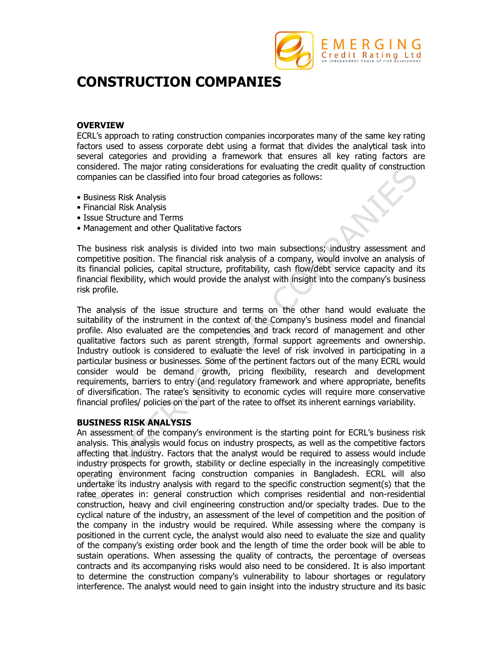

# **CONSTRUCTION COMPANIES**

### **OVERVIEW**

ECRL's approach to rating construction companies incorporates many of the same key rating factors used to assess corporate debt using a format that divides the analytical task into several categories and providing a framework that ensures all key rating factors are considered. The major rating considerations for evaluating the credit quality of construction companies can be classified into four broad categories as follows:

- Business Risk Analysis
- Financial Risk Analysis
- Issue Structure and Terms
- Management and other Qualitative factors

The business risk analysis is divided into two main subsections; industry assessment and competitive position. The financial risk analysis of a company, would involve an analysis of its financial policies, capital structure, profitability, cash flow/debt service capacity and its financial flexibility, which would provide the analyst with insight into the company's business risk profile.

The analysis of the issue structure and terms on the other hand would evaluate the suitability of the instrument in the context of the Company's business model and financial profile. Also evaluated are the competencies and track record of management and other qualitative factors such as parent strength, formal support agreements and ownership. Industry outlook is considered to evaluate the level of risk involved in participating in a particular business or businesses. Some of the pertinent factors out of the many ECRL would consider would be demand growth, pricing flexibility, research and development requirements, barriers to entry (and regulatory framework and where appropriate, benefits of diversification. The ratee's sensitivity to economic cycles will require more conservative financial profiles/ policies on the part of the ratee to offset its inherent earnings variability.

# **BUSINESS RISK ANALYSIS**

An assessment of the company's environment is the starting point for ECRL's business risk analysis. This analysis would focus on industry prospects, as well as the competitive factors affecting that industry. Factors that the analyst would be required to assess would include industry prospects for growth, stability or decline especially in the increasingly competitive operating environment facing construction companies in Bangladesh. ECRL will also undertake its industry analysis with regard to the specific construction segment(s) that the ratee operates in: general construction which comprises residential and non-residential construction, heavy and civil engineering construction and/or specialty trades. Due to the cyclical nature of the industry, an assessment of the level of competition and the position of the company in the industry would be required. While assessing where the company is positioned in the current cycle, the analyst would also need to evaluate the size and quality of the company's existing order book and the length of time the order book will be able to sustain operations. When assessing the quality of contracts, the percentage of overseas contracts and its accompanying risks would also need to be considered. It is also important to determine the construction company's vulnerability to labour shortages or regulatory interference. The analyst would need to gain insight into the industry structure and its basic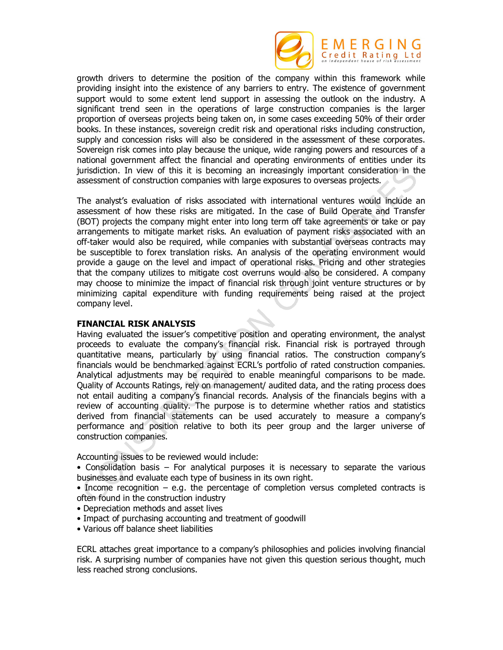

growth drivers to determine the position of the company within this framework while providing insight into the existence of any barriers to entry. The existence of government support would to some extent lend support in assessing the outlook on the industry. A significant trend seen in the operations of large construction companies is the larger proportion of overseas projects being taken on, in some cases exceeding 50% of their order books. In these instances, sovereign credit risk and operational risks including construction, supply and concession risks will also be considered in the assessment of these corporates. Sovereign risk comes into play because the unique, wide ranging powers and resources of a national government affect the financial and operating environments of entities under its jurisdiction. In view of this it is becoming an increasingly important consideration in the assessment of construction companies with large exposures to overseas projects.

The analyst's evaluation of risks associated with international ventures would include an assessment of how these risks are mitigated. In the case of Build Operate and Transfer (BOT) projects the company might enter into long term off take agreements or take or pay arrangements to mitigate market risks. An evaluation of payment risks associated with an off-taker would also be required, while companies with substantial overseas contracts may be susceptible to forex translation risks. An analysis of the operating environment would provide a gauge on the level and impact of operational risks. Pricing and other strategies that the company utilizes to mitigate cost overruns would also be considered. A company may choose to minimize the impact of financial risk through joint venture structures or by minimizing capital expenditure with funding requirements being raised at the project company level.

#### **FINANCIAL RISK ANALYSIS**

Having evaluated the issuer's competitive position and operating environment, the analyst proceeds to evaluate the company's financial risk. Financial risk is portrayed through quantitative means, particularly by using financial ratios. The construction company's financials would be benchmarked against ECRL's portfolio of rated construction companies. Analytical adjustments may be required to enable meaningful comparisons to be made. Quality of Accounts Ratings, rely on management/ audited data, and the rating process does not entail auditing a company's financial records. Analysis of the financials begins with a review of accounting quality. The purpose is to determine whether ratios and statistics derived from financial statements can be used accurately to measure a company's performance and position relative to both its peer group and the larger universe of construction companies.

Accounting issues to be reviewed would include:

- Consolidation basis For analytical purposes it is necessary to separate the various businesses and evaluate each type of business in its own right.
- Income recognition e.g. the percentage of completion versus completed contracts is often found in the construction industry
- Depreciation methods and asset lives
- Impact of purchasing accounting and treatment of goodwill
- Various off balance sheet liabilities

ECRL attaches great importance to a company's philosophies and policies involving financial risk. A surprising number of companies have not given this question serious thought, much less reached strong conclusions.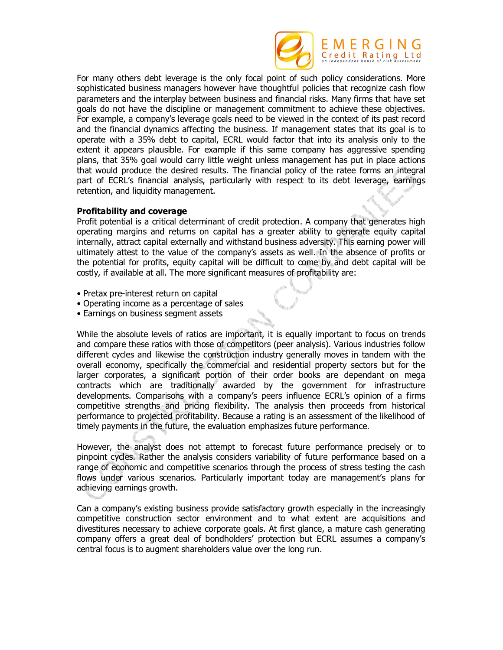

For many others debt leverage is the only focal point of such policy considerations. More sophisticated business managers however have thoughtful policies that recognize cash flow parameters and the interplay between business and financial risks. Many firms that have set goals do not have the discipline or management commitment to achieve these objectives. For example, a company's leverage goals need to be viewed in the context of its past record and the financial dynamics affecting the business. If management states that its goal is to operate with a 35% debt to capital, ECRL would factor that into its analysis only to the extent it appears plausible. For example if this same company has aggressive spending plans, that 35% goal would carry little weight unless management has put in place actions that would produce the desired results. The financial policy of the ratee forms an integral part of ECRL's financial analysis, particularly with respect to its debt leverage, earnings retention, and liquidity management.

#### **Profitability and coverage**

Profit potential is a critical determinant of credit protection. A company that generates high operating margins and returns on capital has a greater ability to generate equity capital internally, attract capital externally and withstand business adversity. This earning power will ultimately attest to the value of the company's assets as well. In the absence of profits or the potential for profits, equity capital will be difficult to come by and debt capital will be costly, if available at all. The more significant measures of profitability are:

- Pretax pre-interest return on capital
- Operating income as a percentage of sales
- Earnings on business segment assets

While the absolute levels of ratios are important, it is equally important to focus on trends and compare these ratios with those of competitors (peer analysis). Various industries follow different cycles and likewise the construction industry generally moves in tandem with the overall economy, specifically the commercial and residential property sectors but for the larger corporates, a significant portion of their order books are dependant on mega contracts which are traditionally awarded by the government for infrastructure developments. Comparisons with a company's peers influence ECRL's opinion of a firms competitive strengths and pricing flexibility. The analysis then proceeds from historical performance to projected profitability. Because a rating is an assessment of the likelihood of timely payments in the future, the evaluation emphasizes future performance.

However, the analyst does not attempt to forecast future performance precisely or to pinpoint cycles. Rather the analysis considers variability of future performance based on a range of economic and competitive scenarios through the process of stress testing the cash flows under various scenarios. Particularly important today are management's plans for achieving earnings growth.

Can a company's existing business provide satisfactory growth especially in the increasingly competitive construction sector environment and to what extent are acquisitions and divestitures necessary to achieve corporate goals. At first glance, a mature cash generating company offers a great deal of bondholders' protection but ECRL assumes a company's central focus is to augment shareholders value over the long run.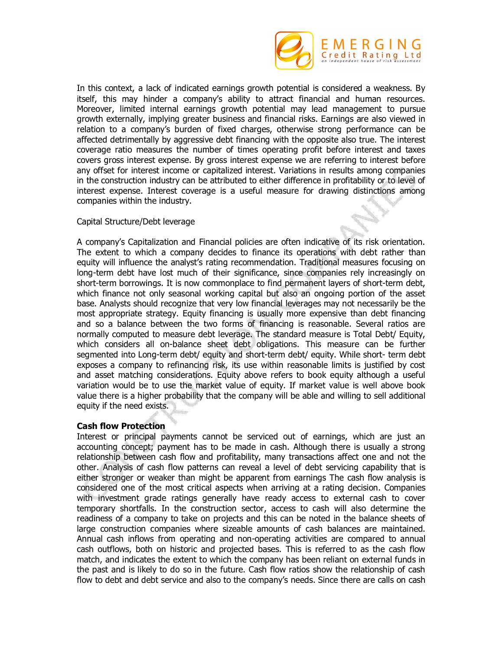

In this context, a lack of indicated earnings growth potential is considered a weakness. By itself, this may hinder a company's ability to attract financial and human resources. Moreover, limited internal earnings growth potential may lead management to pursue growth externally, implying greater business and financial risks. Earnings are also viewed in relation to a company's burden of fixed charges, otherwise strong performance can be affected detrimentally by aggressive debt financing with the opposite also true. The interest coverage ratio measures the number of times operating profit before interest and taxes covers gross interest expense. By gross interest expense we are referring to interest before any offset for interest income or capitalized interest. Variations in results among companies in the construction industry can be attributed to either difference in profitability or to level of interest expense. Interest coverage is a useful measure for drawing distinctions among companies within the industry.

# Capital Structure/Debt leverage

A company's Capitalization and Financial policies are often indicative of its risk orientation. The extent to which a company decides to finance its operations with debt rather than equity will influence the analyst's rating recommendation. Traditional measures focusing on long-term debt have lost much of their significance, since companies rely increasingly on short-term borrowings. It is now commonplace to find permanent layers of short-term debt, which finance not only seasonal working capital but also an ongoing portion of the asset base. Analysts should recognize that very low financial leverages may not necessarily be the most appropriate strategy. Equity financing is usually more expensive than debt financing and so a balance between the two forms of financing is reasonable. Several ratios are normally computed to measure debt leverage. The standard measure is Total Debt/ Equity, which considers all on-balance sheet debt obligations. This measure can be further segmented into Long-term debt/ equity and short-term debt/ equity. While short- term debt exposes a company to refinancing risk, its use within reasonable limits is justified by cost and asset matching considerations. Equity above refers to book equity although a useful variation would be to use the market value of equity. If market value is well above book value there is a higher probability that the company will be able and willing to sell additional equity if the need exists.

# **Cash flow Protection**

Interest or principal payments cannot be serviced out of earnings, which are just an accounting concept; payment has to be made in cash. Although there is usually a strong relationship between cash flow and profitability, many transactions affect one and not the other. Analysis of cash flow patterns can reveal a level of debt servicing capability that is either stronger or weaker than might be apparent from earnings The cash flow analysis is considered one of the most critical aspects when arriving at a rating decision. Companies with investment grade ratings generally have ready access to external cash to cover temporary shortfalls. In the construction sector, access to cash will also determine the readiness of a company to take on projects and this can be noted in the balance sheets of large construction companies where sizeable amounts of cash balances are maintained. Annual cash inflows from operating and non-operating activities are compared to annual cash outflows, both on historic and projected bases. This is referred to as the cash flow match, and indicates the extent to which the company has been reliant on external funds in the past and is likely to do so in the future. Cash flow ratios show the relationship of cash flow to debt and debt service and also to the company's needs. Since there are calls on cash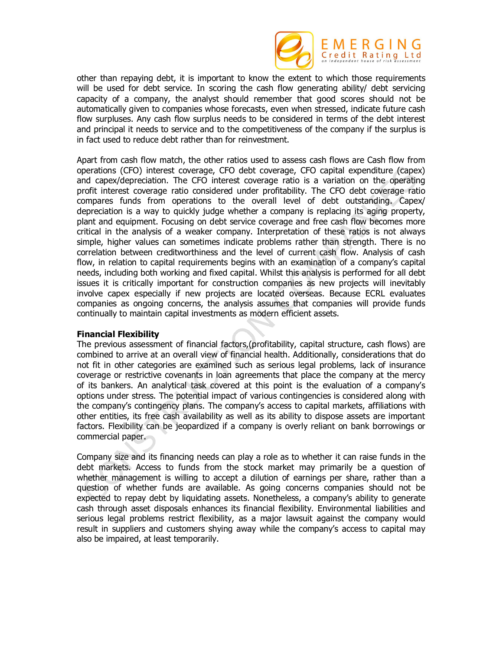

other than repaying debt, it is important to know the extent to which those requirements will be used for debt service. In scoring the cash flow generating ability/ debt servicing capacity of a company, the analyst should remember that good scores should not be automatically given to companies whose forecasts, even when stressed, indicate future cash flow surpluses. Any cash flow surplus needs to be considered in terms of the debt interest and principal it needs to service and to the competitiveness of the company if the surplus is in fact used to reduce debt rather than for reinvestment.

Apart from cash flow match, the other ratios used to assess cash flows are Cash flow from operations (CFO) interest coverage, CFO debt coverage, CFO capital expenditure (capex) and capex/depreciation. The CFO interest coverage ratio is a variation on the operating profit interest coverage ratio considered under profitability. The CFO debt coverage ratio compares funds from operations to the overall level of debt outstanding. Capex/ depreciation is a way to quickly judge whether a company is replacing its aging property, plant and equipment. Focusing on debt service coverage and free cash flow becomes more critical in the analysis of a weaker company. Interpretation of these ratios is not always simple, higher values can sometimes indicate problems rather than strength. There is no correlation between creditworthiness and the level of current cash flow. Analysis of cash flow, in relation to capital requirements begins with an examination of a company's capital needs, including both working and fixed capital. Whilst this analysis is performed for all debt issues it is critically important for construction companies as new projects will inevitably involve capex especially if new projects are located overseas. Because ECRL evaluates companies as ongoing concerns, the analysis assumes that companies will provide funds continually to maintain capital investments as modern efficient assets.

# **Financial Flexibility**

The previous assessment of financial factors,(profitability, capital structure, cash flows) are combined to arrive at an overall view of financial health. Additionally, considerations that do not fit in other categories are examined such as serious legal problems, lack of insurance coverage or restrictive covenants in loan agreements that place the company at the mercy of its bankers. An analytical task covered at this point is the evaluation of a company's options under stress. The potential impact of various contingencies is considered along with the company's contingency plans. The company's access to capital markets, affiliations with other entities, its free cash availability as well as its ability to dispose assets are important factors. Flexibility can be jeopardized if a company is overly reliant on bank borrowings or commercial paper.

Company size and its financing needs can play a role as to whether it can raise funds in the debt markets. Access to funds from the stock market may primarily be a question of whether management is willing to accept a dilution of earnings per share, rather than a question of whether funds are available. As going concerns companies should not be expected to repay debt by liquidating assets. Nonetheless, a company's ability to generate cash through asset disposals enhances its financial flexibility. Environmental liabilities and serious legal problems restrict flexibility, as a major lawsuit against the company would result in suppliers and customers shying away while the company's access to capital may also be impaired, at least temporarily.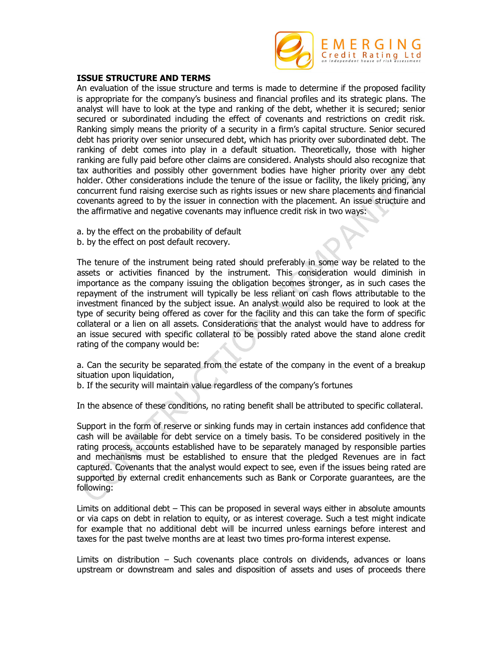

### **ISSUE STRUCTURE AND TERMS**

An evaluation of the issue structure and terms is made to determine if the proposed facility is appropriate for the company's business and financial profiles and its strategic plans. The analyst will have to look at the type and ranking of the debt, whether it is secured; senior secured or subordinated including the effect of covenants and restrictions on credit risk. Ranking simply means the priority of a security in a firm's capital structure. Senior secured debt has priority over senior unsecured debt, which has priority over subordinated debt. The ranking of debt comes into play in a default situation. Theoretically, those with higher ranking are fully paid before other claims are considered. Analysts should also recognize that tax authorities and possibly other government bodies have higher priority over any debt holder. Other considerations include the tenure of the issue or facility, the likely pricing, any concurrent fund raising exercise such as rights issues or new share placements and financial covenants agreed to by the issuer in connection with the placement. An issue structure and the affirmative and negative covenants may influence credit risk in two ways:

- a. by the effect on the probability of default
- b. by the effect on post default recovery.

The tenure of the instrument being rated should preferably in some way be related to the assets or activities financed by the instrument. This consideration would diminish in importance as the company issuing the obligation becomes stronger, as in such cases the repayment of the instrument will typically be less reliant on cash flows attributable to the investment financed by the subject issue. An analyst would also be required to look at the type of security being offered as cover for the facility and this can take the form of specific collateral or a lien on all assets. Considerations that the analyst would have to address for an issue secured with specific collateral to be possibly rated above the stand alone credit rating of the company would be:

a. Can the security be separated from the estate of the company in the event of a breakup situation upon liquidation,

b. If the security will maintain value regardless of the company's fortunes

In the absence of these conditions, no rating benefit shall be attributed to specific collateral.

Support in the form of reserve or sinking funds may in certain instances add confidence that cash will be available for debt service on a timely basis. To be considered positively in the rating process, accounts established have to be separately managed by responsible parties and mechanisms must be established to ensure that the pledged Revenues are in fact captured. Covenants that the analyst would expect to see, even if the issues being rated are supported by external credit enhancements such as Bank or Corporate guarantees, are the following:

Limits on additional debt – This can be proposed in several ways either in absolute amounts or via caps on debt in relation to equity, or as interest coverage. Such a test might indicate for example that no additional debt will be incurred unless earnings before interest and taxes for the past twelve months are at least two times pro-forma interest expense.

Limits on distribution – Such covenants place controls on dividends, advances or loans upstream or downstream and sales and disposition of assets and uses of proceeds there